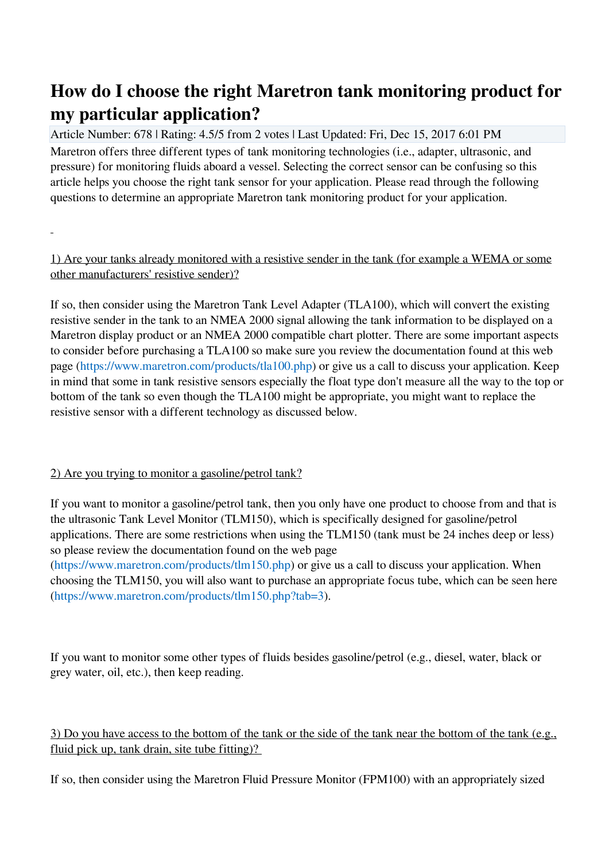## **How do I choose the right Maretron tank monitoring product for my particular application?**

Article Number: 678 | Rating: 4.5/5 from 2 votes | Last Updated: Fri, Dec 15, 2017 6:01 PM Maretron offers three different types of tank monitoring technologies (i.e., adapter, ultrasonic, and pressure) for monitoring fluids aboard a vessel. Selecting the correct sensor can be confusing so this article helps you choose the right tank sensor for your application. Please read through the following questions to determine an appropriate Maretron tank monitoring product for your application.

1) Are your tanks already monitored with a resistive sender in the tank (for example a WEMA or some other manufacturers' resistive sender)?

If so, then consider using the Maretron Tank Level Adapter (TLA100), which will convert the existing resistive sender in the tank to an NMEA 2000 signal allowing the tank information to be displayed on a Maretron display product or an NMEA 2000 compatible chart plotter. There are some important aspects to consider before purchasing a TLA100 so make sure you review the documentation found at this web page [\(https://www.maretron.com/products/tla100.php](https://www.maretron.com/products/tla100.php)) or give us a call to discuss your application. Keep in mind that some in tank resistive sensors especially the float type don't measure all the way to the top or bottom of the tank so even though the TLA100 might be appropriate, you might want to replace the resistive sensor with a different technology as discussed below.

## 2) Are you trying to monitor a gasoline/petrol tank?

If you want to monitor a gasoline/petrol tank, then you only have one product to choose from and that is the ultrasonic Tank Level Monitor (TLM150), which is specifically designed for gasoline/petrol applications. There are some restrictions when using the TLM150 (tank must be 24 inches deep or less) so please review the documentation found on the web page

[\(https://www.maretron.com/products/tlm150.php](https://www.maretron.com/products/tlm150.php)) or give us a call to discuss your application. When choosing the TLM150, you will also want to purchase an appropriate focus tube, which can be seen here [\(https://www.maretron.com/products/tlm150.php?tab=3\)](https://www.maretron.com/products/tlm150.php?tab=3).

If you want to monitor some other types of fluids besides gasoline/petrol (e.g., diesel, water, black or grey water, oil, etc.), then keep reading.

3) Do you have access to the bottom of the tank or the side of the tank near the bottom of the tank (e.g., fluid pick up, tank drain, site tube fitting)?

If so, then consider using the Maretron Fluid Pressure Monitor (FPM100) with an appropriately sized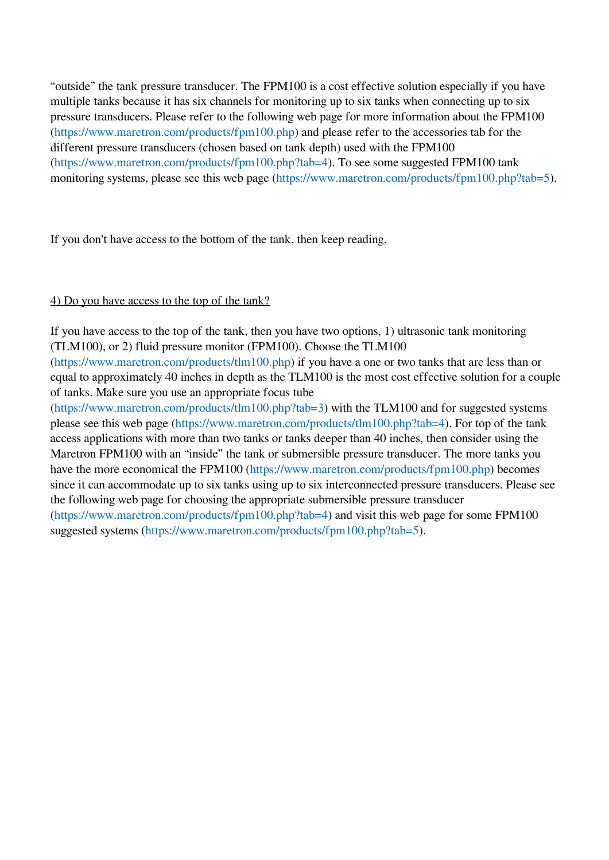"outside" the tank pressure transducer. The FPM100 is a cost effective solution especially if you have multiple tanks because it has six channels for monitoring up to six tanks when connecting up to six pressure transducers. Please refer to the following web page for more information about the FPM100 [\(https://www.maretron.com/products/fpm100.php](https://www.maretron.com/products/fpm100.php)) and please refer to the accessories tab for the different pressure transducers (chosen based on tank depth) used with the FPM100 [\(https://www.maretron.com/products/fpm100.php?tab=4\)](https://www.maretron.com/products/fpm100.php?tab=4). To see some suggested FPM100 tank monitoring systems, please see this web page [\(https://www.maretron.com/products/fpm100.php?tab=5\)](https://www.maretron.com/products/fpm100.php?tab=5).

If you don't have access to the bottom of the tank, then keep reading.

## 4) Do you have access to the top of the tank?

If you have access to the top of the tank, then you have two options, 1) ultrasonic tank monitoring (TLM100), or 2) fluid pressure monitor (FPM100). Choose the TLM100 [\(https://www.maretron.com/products/tlm100.php](https://www.maretron.com/products/tlm100.php)) if you have a one or two tanks that are less than or equal to approximately 40 inches in depth as the TLM100 is the most cost effective solution for a couple of tanks. Make sure you use an appropriate focus tube

[\(https://www.maretron.com/products/tlm100.php?tab=3\)](https://www.maretron.com/products/tlm100.php?tab=3) with the TLM100 and for suggested systems please see this web page ([https://www.maretron.com/products/tlm100.php?tab=4\)](https://www.maretron.com/products/tlm100.php?tab=4). For top of the tank access applications with more than two tanks or tanks deeper than 40 inches, then consider using the Maretron FPM100 with an "inside" the tank or submersible pressure transducer. The more tanks you have the more economical the FPM100 [\(https://www.maretron.com/products/fpm100.php](https://www.maretron.com/products/fpm100.php)) becomes since it can accommodate up to six tanks using up to six interconnected pressure transducers. Please see the following web page for choosing the appropriate submersible pressure transducer [\(https://www.maretron.com/products/fpm100.php?tab=4\)](https://www.maretron.com/products/fpm100.php?tab=4) and visit this web page for some FPM100 suggested systems [\(https://www.maretron.com/products/fpm100.php?tab=5\)](https://www.maretron.com/products/fpm100.php?tab=5).